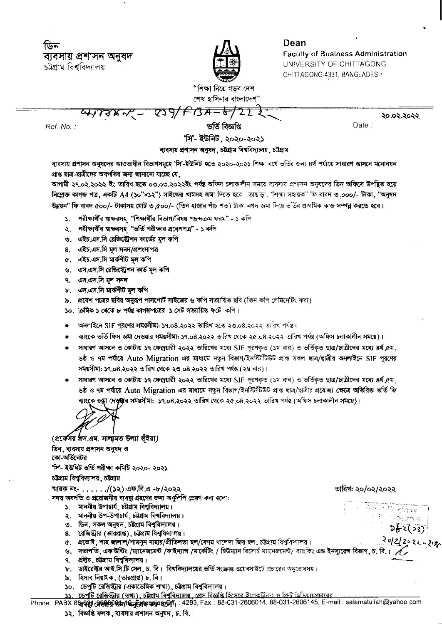ডিন ব্যবসায় প্ৰশাসন অনুষদ চট্টগ্রাম বিশ্ববিদ্যালয়



Dean **Faculty of Business Administration** UNIVERSITY OF CHITTAGONG CHITTAGONG-4331, BANGLADESH

"শিক্ষা নিয়ে গডব দেশ শেখ হাসিনার বাংলাদেশ

 $839/F134 - 6$ २०.०२.२०२२ Date:

Ref. No.:

ভৰ্তি বিজ্ঞপ্তি

'সি'- ইউনিট, ২০২০-২০২১

ব্যবসায় প্রশাসন অনুষদ, চট্টগ্রাম বিশ্ববিদ্যালয়, চট্টগ্রাম

ব্যবসায় প্রশাসন অনুষদের আওতাধীন বিভাগসমূহে 'সি'-ইউনিট হতে ২০২০-২০২১ শিক্ষা বর্ষে ভর্তির জন্য ৪র্থ পর্যায়ে সাধারণ আসনে মনোনয়ন প্রাপ্ত ছাত্র-ছাত্রীদের অবগতির জন্য জানানো যাচ্ছে যে,

আগামী ২৭.০২.২০২২ ইং তারিখ হতে ০৩.০৩.২০২২ইং পর্যন্ত অফিস চলাকালীন সময়ে ব্যবসায় প্রশাসন অনুষদের ডিন অফিসে উপছিত হয়ে **নিম্লোক্ত কাগজ পত্ৰ, একটি A4 (১০"×১২") সাইজের খামসহ জমা দিতে হবে। তাছাডা, "শিক্ষা সহায়ক" ফি বাবদ ৩,০০০/- টাকা, "অনুষদ** উন্নয়ন" ফি বাবদ ৫০০/- টাকাসহ মোট ৩,৫০০/- (তিন হাজার পাঁচ শত) টাকা নগদ জমা দিয়ে ভর্তির প্রাথমিক কাজ সম্পন্ন করতে হবে।

- ১. পরীক্ষার্থীর শ্বাক্ষরসহ "শিক্ষার্থীর বিভাগ/বিষয় পছন্দক্রম ফরম" ১ কপি
- ২. পরীক্ষার্থীর শ্বাক্ষরসহ "ভর্তি পরীক্ষার প্রবেশপত্র" ১ কপি
- ৩. এইচ.এস.সি রেজিস্ট্রেশন কার্ডের মূল কপি
- 8. এইচ.এস.সি মল সনদ/প্ৰশংসাপত্ৰ
- ৫. এইচ.এস.সি মার্কশীট মূল কপি
- ৬. এস.এস.সি রেজিস্ট্রেশন কার্ড মূল কপি
- ৭. এস.এস.সি মূল সনদ
- ৮. এস.এস.সি মার্কশীট মল কপি
- ৯. প্রবেশ পত্রের ছবির অনুরূপ পাসপোর্ট সাইজের ৬ কপি সত্যায়িত ছবি (তিন কপি লেমিনেটিং করা)
- ১০. ক্ৰমিক ১ থেকে ৮ পৰ্যন্ত কাগজপত্ৰের ১ সেট সত্যায়িত ফটো কপি।
- অনলাইনে SIF পুরণের সময়সীমা: ১৭.০৪.২০২২ তারিখ হতে ২৩.০৪.২০২২ তারিখ পর্যন্ত।
- ব্যাংকে ভর্তি ফিস জমা দেওয়ার সময়সীমা: ১৭.০৪.২০২২ তারিখ থেকে ২৫.০৪.২০২২ তারিখ পর্যন্ত (অফিস চলাকালীন সময়ে)।
- সাধারণ আসনে ও কোটায় ১৭ ফেব্রুয়ারী ২০২২ তারিখের মধ্যে SIF পরণকত (১ম বার) ও ভর্তিকত ছাত্র/ছাত্রীদের মধ্যে ৪র্থ.৫ম. ৬ষ্ঠ ও ৭ম পর্যায়ে Auto Migration এর মাধ্যমে নতুন বিভাগ/ইনস্টিটিউট প্রাপ্ত সকল ছাত্র/ছাত্রীর অনলাইনে SIF পুরণের সময়সীমা: ১৭.০৪.২০২২ তারিখ থেকে ২৩.০৪.২০২২ তারিখ পর্যন্ত (২য় বার)।
- সাধারণ আসনে ও কোটায় ১৭ ফেব্রুয়ারী ২০২২ তারিখের মধ্যে SIF পূরণকৃত (১ম বার) ও ভর্তিকৃত ছাত্র/ছাত্রীদের মধ্যে ৪র্থ,৫ম, ৬ষ্ঠ ও ৭ম পর্যায়ে Auto Migration এর মাধ্যমে নতুন বিভাগ/ইনস্টিটিউট প্রাপ্ত ছাত্র/ছাত্রীর প্রযোজ্য ক্ষেত্রে অতিরিক্ত ভর্তি ফি ব্যাংকে জয়্না দে**ওয়া**র <mark>সময়সীমা: ১৭.০৪.২০২২ তারিখ থেকে ২৫.০৪.২০২২</mark> তারিখ পর্যন্ত (অফিস চলাকালীন সময়ে)।

(প্রফেসর প্রস এম. সালমিত উল্যা ভঁইয়া) ডিন, ব্যবসায় প্রশাসন অনুষদ ও কো-অর্ডিনেটর

'সি'- ইউনিট ভৰ্তি পরীক্ষা কমিটি ২০২০- ২০২১

চউগ্ৰাম বিশ্ববিদ্যালয়, চউগ্ৰাম।

স্মারক নং- . . . . . . /(১২) এফ.বি.এ -৮/২০২২

সদয় অবগতি ও প্রয়োজনীয় ব্যবস্থা গ্রহণের জন্য অনুলিপি প্রেরণ করা হলো:

- ১. মাননীয় উপাচার্য, চটগ্রাম বিশুবিদ্যালয়।
- ২. মাননীয় উপ-উপাচার্য, চউগ্রাম বিশবিদ্যালয়।
- ৩. ডিন, সকল অনুষদ, চট্টগ্রাম বিশ্ববিদ্যালয়।
- 8. রেজিস্ট্রার (ভারপ্রাপ্ত), চটগ্রাম বিশ্ববিদ্যালয়।
- $\alpha$ . প্রভোষ্ট, শাহ জালাল/শামসুন নাহার/প্রীতিলতা হল/বেগম খালেদা জিয় হল, চউগ্রাম বিশ্ববিদ্যালয়।
- ৬. সভাপতি, একাউন্টিং /ম্যানেজমেন্ট /ফাইন্যাগ /মার্কেটিং / হিউম্যান রিসোর্চ ম্যানেজমেন্ট/ ব্যাংকিং এন্ড ইনস্যুরেন্স বিভাগ, চ. বি.।
- ৭. প্রব্বর, চউগ্রাম বিশ্ববিদ্যালয়।
- ৮. ভাইরেক্টর আই.সি.টি সেল, চ. বি। বিশ্ববিদ্যালয়ের ভর্তি সংক্রান্ত ওয়েবসাইটে প্রচারের অনুরোধসহ।
- ৯. হিসাব নিয়ামক, (ভারপ্রাপ্ত) চ. বি।
- ১০. ডেপুটি রেজিস্ট্রার (একাডেমিক শাখা), চট্টগ্রাম বিশ্ববিদ্যালয়।
- ১১. ডেপটি রেজিস্টার (তথ্য), চট্টগ্রাম বিশ্ববিদ্যালয়, প্রেস বিজ্ঞপ্তি হিসেবে ইলেকটনিক ও প্রিন্ট মিডিয়ায়প্রচারের

Phone : PABX 8& 日前 28%以下的 + 293, Fax: 88-031-2606014, 88-031-2606145, E-mail: salamatullah@yahoo.com

১২. বিজ্ঞপ্তি ফলক, ব্যবসায় প্রশাসন অনুষদ, চ. বি.।

 $262(28)$  $2022022-209$ 

<sup>न</sup>ेजनसम्बर

ক্ষিক্ৰিয় *কৰা* আ

তারিখ: ২০/০২/২০২২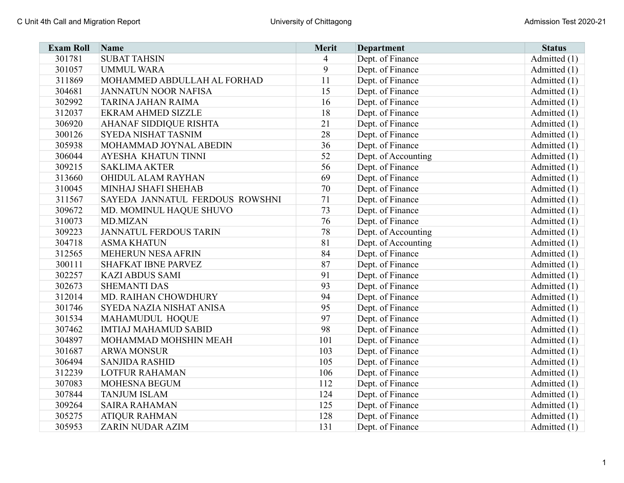| <b>Exam Roll</b> | <b>Name</b>                     | <b>Merit</b> | <b>Department</b>   | <b>Status</b>  |
|------------------|---------------------------------|--------------|---------------------|----------------|
| 301781           | <b>SUBAT TAHSIN</b>             | 4            | Dept. of Finance    | Admitted (1)   |
| 301057           | <b>UMMUL WARA</b>               | 9            | Dept. of Finance    | Admitted $(1)$ |
| 311869           | MOHAMMED ABDULLAH AL FORHAD     | 11           | Dept. of Finance    | Admitted (1)   |
| 304681           | <b>JANNATUN NOOR NAFISA</b>     | 15           | Dept. of Finance    | Admitted (1)   |
| 302992           | TARINA JAHAN RAIMA              | 16           | Dept. of Finance    | Admitted (1)   |
| 312037           | <b>EKRAM AHMED SIZZLE</b>       | 18           | Dept. of Finance    | Admitted (1)   |
| 306920           | <b>AHANAF SIDDIQUE RISHTA</b>   | 21           | Dept. of Finance    | Admitted (1)   |
| 300126           | <b>SYEDA NISHAT TASNIM</b>      | 28           | Dept. of Finance    | Admitted (1)   |
| 305938           | MOHAMMAD JOYNAL ABEDIN          | 36           | Dept. of Finance    | Admitted $(1)$ |
| 306044           | AYESHA KHATUN TINNI             | 52           | Dept. of Accounting | Admitted $(1)$ |
| 309215           | <b>SAKLIMA AKTER</b>            | 56           | Dept. of Finance    | Admitted (1)   |
| 313660           | OHIDUL ALAM RAYHAN              | 69           | Dept. of Finance    | Admitted (1)   |
| 310045           | MINHAJ SHAFI SHEHAB             | 70           | Dept. of Finance    | Admitted (1)   |
| 311567           | SAYEDA JANNATUL FERDOUS ROWSHNI | 71           | Dept. of Finance    | Admitted (1)   |
| 309672           | MD. MOMINUL HAQUE SHUVO         | 73           | Dept. of Finance    | Admitted (1)   |
| 310073           | <b>MD.MIZAN</b>                 | 76           | Dept. of Finance    | Admitted $(1)$ |
| 309223           | <b>JANNATUL FERDOUS TARIN</b>   | 78           | Dept. of Accounting | Admitted $(1)$ |
| 304718           | <b>ASMA KHATUN</b>              | 81           | Dept. of Accounting | Admitted (1)   |
| 312565           | MEHERUN NESA AFRIN              | 84           | Dept. of Finance    | Admitted (1)   |
| 300111           | <b>SHAFKAT IBNE PARVEZ</b>      | 87           | Dept. of Finance    | Admitted (1)   |
| 302257           | <b>KAZI ABDUS SAMI</b>          | 91           | Dept. of Finance    | Admitted (1)   |
| 302673           | <b>SHEMANTI DAS</b>             | 93           | Dept. of Finance    | Admitted (1)   |
| 312014           | MD. RAIHAN CHOWDHURY            | 94           | Dept. of Finance    | Admitted (1)   |
| 301746           | SYEDA NAZIA NISHAT ANISA        | 95           | Dept. of Finance    | Admitted (1)   |
| 301534           | MAHAMUDUL HOQUE                 | 97           | Dept. of Finance    | Admitted (1)   |
| 307462           | <b>IMTIAJ MAHAMUD SABID</b>     | 98           | Dept. of Finance    | Admitted (1)   |
| 304897           | MOHAMMAD MOHSHIN MEAH           | 101          | Dept. of Finance    | Admitted (1)   |
| 301687           | <b>ARWA MONSUR</b>              | 103          | Dept. of Finance    | Admitted (1)   |
| 306494           | <b>SANJIDA RASHID</b>           | 105          | Dept. of Finance    | Admitted $(1)$ |
| 312239           | <b>LOTFUR RAHAMAN</b>           | 106          | Dept. of Finance    | Admitted $(1)$ |
| 307083           | <b>MOHESNA BEGUM</b>            | 112          | Dept. of Finance    | Admitted $(1)$ |
| 307844           | <b>TANJUM ISLAM</b>             | 124          | Dept. of Finance    | Admitted (1)   |
| 309264           | <b>SAIRA RAHAMAN</b>            | 125          | Dept. of Finance    | Admitted (1)   |
| 305275           | <b>ATIQUR RAHMAN</b>            | 128          | Dept. of Finance    | Admitted $(1)$ |
| 305953           | ZARIN NUDAR AZIM                | 131          | Dept. of Finance    | Admitted (1)   |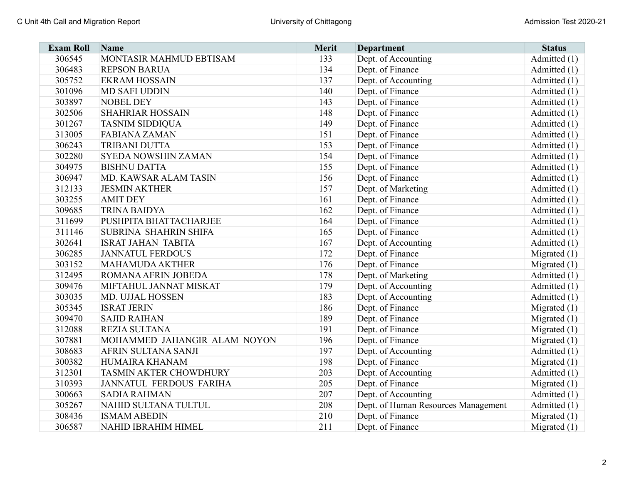| <b>Exam Roll</b> | Name                           | Merit | <b>Department</b>                   | <b>Status</b>  |
|------------------|--------------------------------|-------|-------------------------------------|----------------|
| 306545           | MONTASIR MAHMUD EBTISAM        | 133   | Dept. of Accounting                 | Admitted (1)   |
| 306483           | <b>REPSON BARUA</b>            | 134   | Dept. of Finance                    | Admitted (1)   |
| 305752           | <b>EKRAM HOSSAIN</b>           | 137   | Dept. of Accounting                 | Admitted (1)   |
| 301096           | <b>MD SAFI UDDIN</b>           | 140   | Dept. of Finance                    | Admitted (1)   |
| 303897           | <b>NOBEL DEY</b>               | 143   | Dept. of Finance                    | Admitted (1)   |
| 302506           | <b>SHAHRIAR HOSSAIN</b>        | 148   | Dept. of Finance                    | Admitted (1)   |
| 301267           | <b>TASNIM SIDDIQUA</b>         | 149   | Dept. of Finance                    | Admitted (1)   |
| 313005           | <b>FABIANA ZAMAN</b>           | 151   | Dept. of Finance                    | Admitted (1)   |
| 306243           | TRIBANI DUTTA                  | 153   | Dept. of Finance                    | Admitted (1)   |
| 302280           | <b>SYEDA NOWSHIN ZAMAN</b>     | 154   | Dept. of Finance                    | Admitted (1)   |
| 304975           | <b>BISHNU DATTA</b>            | 155   | Dept. of Finance                    | Admitted (1)   |
| 306947           | MD. KAWSAR ALAM TASIN          | 156   | Dept. of Finance                    | Admitted (1)   |
| 312133           | <b>JESMIN AKTHER</b>           | 157   | Dept. of Marketing                  | Admitted (1)   |
| 303255           | <b>AMIT DEY</b>                | 161   | Dept. of Finance                    | Admitted (1)   |
| 309685           | <b>TRINA BAIDYA</b>            | 162   | Dept. of Finance                    | Admitted (1)   |
| 311699           | PUSHPITA BHATTACHARJEE         | 164   | Dept. of Finance                    | Admitted (1)   |
| 311146           | SUBRINA SHAHRIN SHIFA          | 165   | Dept. of Finance                    | Admitted (1)   |
| 302641           | <b>ISRAT JAHAN TABITA</b>      | 167   | Dept. of Accounting                 | Admitted (1)   |
| 306285           | <b>JANNATUL FERDOUS</b>        | 172   | Dept. of Finance                    | Migrated $(1)$ |
| 303152           | <b>MAHAMUDA AKTHER</b>         | 176   | Dept. of Finance                    | Migrated $(1)$ |
| 312495           | ROMANA AFRIN JOBEDA            | 178   | Dept. of Marketing                  | Admitted (1)   |
| 309476           | MIFTAHUL JANNAT MISKAT         | 179   | Dept. of Accounting                 | Admitted (1)   |
| 303035           | MD. UJJAL HOSSEN               | 183   | Dept. of Accounting                 | Admitted (1)   |
| 305345           | <b>ISRAT JERIN</b>             | 186   | Dept. of Finance                    | Migrated $(1)$ |
| 309470           | <b>SAJID RAIHAN</b>            | 189   | Dept. of Finance                    | Migrated $(1)$ |
| 312088           | <b>REZIA SULTANA</b>           | 191   | Dept. of Finance                    | Migrated $(1)$ |
| 307881           | MOHAMMED JAHANGIR ALAM NOYON   | 196   | Dept. of Finance                    | Migrated $(1)$ |
| 308683           | AFRIN SULTANA SANJI            | 197   | Dept. of Accounting                 | Admitted (1)   |
| 300382           | HUMAIRA KHANAM                 | 198   | Dept. of Finance                    | Migrated $(1)$ |
| 312301           | TASMIN AKTER CHOWDHURY         | 203   | Dept. of Accounting                 | Admitted (1)   |
| 310393           | <b>JANNATUL FERDOUS FARIHA</b> | 205   | Dept. of Finance                    | Migrated $(1)$ |
| 300663           | <b>SADIA RAHMAN</b>            | 207   | Dept. of Accounting                 | Admitted (1)   |
| 305267           | NAHID SULTANA TULTUL           | 208   | Dept. of Human Resources Management | Admitted (1)   |
| 308436           | <b>ISMAM ABEDIN</b>            | 210   | Dept. of Finance                    | Migrated $(1)$ |
| 306587           | <b>NAHID IBRAHIM HIMEL</b>     | 211   | Dept. of Finance                    | Migrated $(1)$ |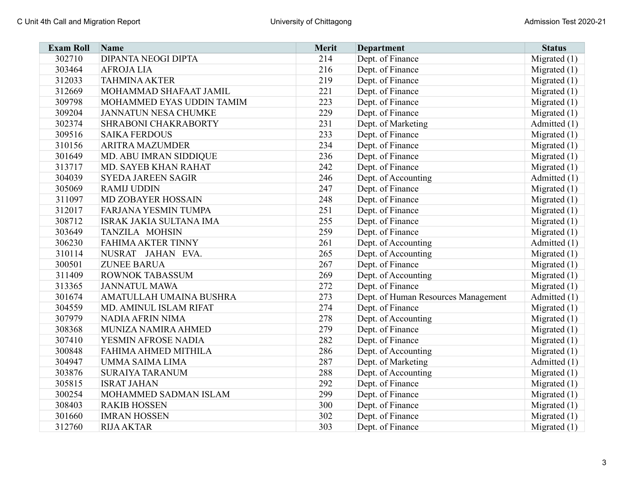| <b>Exam Roll</b> | <b>Name</b>                 | Merit | <b>Department</b>                   | <b>Status</b>  |
|------------------|-----------------------------|-------|-------------------------------------|----------------|
| 302710           | <b>DIPANTA NEOGI DIPTA</b>  | 214   | Dept. of Finance                    | Migrated $(1)$ |
| 303464           | <b>AFROJALIA</b>            | 216   | Dept. of Finance                    | Migrated $(1)$ |
| 312033           | <b>TAHMINA AKTER</b>        | 219   | Dept. of Finance                    | Migrated $(1)$ |
| 312669           | MOHAMMAD SHAFAAT JAMIL      | 221   | Dept. of Finance                    | Migrated $(1)$ |
| 309798           | MOHAMMED EYAS UDDIN TAMIM   | 223   | Dept. of Finance                    | Migrated $(1)$ |
| 309204           | <b>JANNATUN NESA CHUMKE</b> | 229   | Dept. of Finance                    | Migrated $(1)$ |
| 302374           | SHRABONI CHAKRABORTY        | 231   | Dept. of Marketing                  | Admitted (1)   |
| 309516           | <b>SAIKA FERDOUS</b>        | 233   | Dept. of Finance                    | Migrated $(1)$ |
| 310156           | <b>ARITRA MAZUMDER</b>      | 234   | Dept. of Finance                    | Migrated $(1)$ |
| 301649           | MD. ABU IMRAN SIDDIQUE      | 236   | Dept. of Finance                    | Migrated $(1)$ |
| 313717           | MD. SAYEB KHAN RAHAT        | 242   | Dept. of Finance                    | Migrated $(1)$ |
| 304039           | <b>SYEDA JAREEN SAGIR</b>   | 246   | Dept. of Accounting                 | Admitted (1)   |
| 305069           | <b>RAMIJ UDDIN</b>          | 247   | Dept. of Finance                    | Migrated $(1)$ |
| 311097           | MD ZOBAYER HOSSAIN          | 248   | Dept. of Finance                    | Migrated $(1)$ |
| 312017           | <b>FARJANA YESMIN TUMPA</b> | 251   | Dept. of Finance                    | Migrated $(1)$ |
| 308712           | ISRAK JAKIA SULTANA IMA     | 255   | Dept. of Finance                    | Migrated $(1)$ |
| 303649           | TANZILA MOHSIN              | 259   | Dept. of Finance                    | Migrated $(1)$ |
| 306230           | FAHIMA AKTER TINNY          | 261   | Dept. of Accounting                 | Admitted (1)   |
| 310114           | NUSRAT JAHAN EVA.           | 265   | Dept. of Accounting                 | Migrated $(1)$ |
| 300501           | <b>ZUNEE BARUA</b>          | 267   | Dept. of Finance                    | Migrated $(1)$ |
| 311409           | <b>ROWNOK TABASSUM</b>      | 269   | Dept. of Accounting                 | Migrated $(1)$ |
| 313365           | <b>JANNATUL MAWA</b>        | 272   | Dept. of Finance                    | Migrated $(1)$ |
| 301674           | AMATULLAH UMAINA BUSHRA     | 273   | Dept. of Human Resources Management | Admitted (1)   |
| 304559           | MD. AMINUL ISLAM RIFAT      | 274   | Dept. of Finance                    | Migrated $(1)$ |
| 307979           | NADIA AFRIN NIMA            | 278   | Dept. of Accounting                 | Migrated $(1)$ |
| 308368           | MUNIZA NAMIRA AHMED         | 279   | Dept. of Finance                    | Migrated $(1)$ |
| 307410           | YESMIN AFROSE NADIA         | 282   | Dept. of Finance                    | Migrated $(1)$ |
| 300848           | FAHIMA AHMED MITHILA        | 286   | Dept. of Accounting                 | Migrated $(1)$ |
| 304947           | <b>UMMA SAIMA LIMA</b>      | 287   | Dept. of Marketing                  | Admitted $(1)$ |
| 303876           | <b>SURAIYA TARANUM</b>      | 288   | Dept. of Accounting                 | Migrated $(1)$ |
| 305815           | <b>ISRAT JAHAN</b>          | 292   | Dept. of Finance                    | Migrated $(1)$ |
| 300254           | MOHAMMED SADMAN ISLAM       | 299   | Dept. of Finance                    | Migrated $(1)$ |
| 308403           | <b>RAKIB HOSSEN</b>         | 300   | Dept. of Finance                    | Migrated $(1)$ |
| 301660           | <b>IMRAN HOSSEN</b>         | 302   | Dept. of Finance                    | Migrated $(1)$ |
| 312760           | <b>RIJA AKTAR</b>           | 303   | Dept. of Finance                    | Migrated $(1)$ |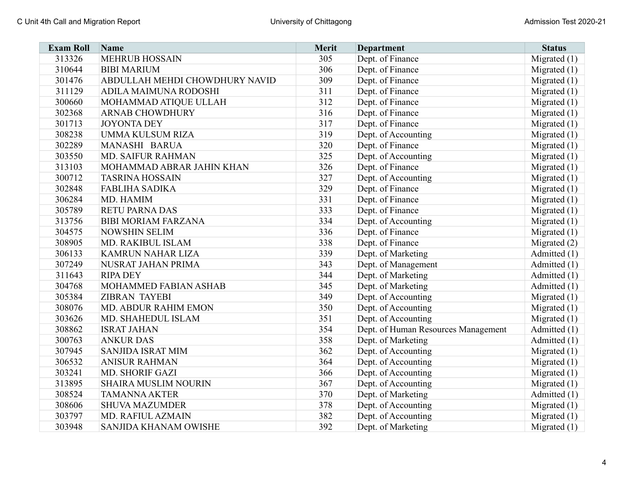| <b>Exam Roll</b> | <b>Name</b>                    | <b>Merit</b> | <b>Department</b>                   | <b>Status</b>  |
|------------------|--------------------------------|--------------|-------------------------------------|----------------|
| 313326           | <b>MEHRUB HOSSAIN</b>          | 305          | Dept. of Finance                    | Migrated $(1)$ |
| 310644           | <b>BIBI MARIUM</b>             | 306          | Dept. of Finance                    | Migrated $(1)$ |
| 301476           | ABDULLAH MEHDI CHOWDHURY NAVID | 309          | Dept. of Finance                    | Migrated $(1)$ |
| 311129           | ADILA MAIMUNA RODOSHI          | 311          | Dept. of Finance                    | Migrated $(1)$ |
| 300660           | MOHAMMAD ATIQUE ULLAH          | 312          | Dept. of Finance                    | Migrated $(1)$ |
| 302368           | <b>ARNAB CHOWDHURY</b>         | 316          | Dept. of Finance                    | Migrated $(1)$ |
| 301713           | <b>JOYONTA DEY</b>             | 317          | Dept. of Finance                    | Migrated $(1)$ |
| 308238           | <b>UMMA KULSUM RIZA</b>        | 319          | Dept. of Accounting                 | Migrated $(1)$ |
| 302289           | MANASHI BARUA                  | 320          | Dept. of Finance                    | Migrated $(1)$ |
| 303550           | <b>MD. SAIFUR RAHMAN</b>       | 325          | Dept. of Accounting                 | Migrated $(1)$ |
| 313103           | MOHAMMAD ABRAR JAHIN KHAN      | 326          | Dept. of Finance                    | Migrated $(1)$ |
| 300712           | <b>TASRINA HOSSAIN</b>         | 327          | Dept. of Accounting                 | Migrated $(1)$ |
| 302848           | <b>FABLIHA SADIKA</b>          | 329          | Dept. of Finance                    | Migrated $(1)$ |
| 306284           | MD. HAMIM                      | 331          | Dept. of Finance                    | Migrated $(1)$ |
| 305789           | <b>RETU PARNA DAS</b>          | 333          | Dept. of Finance                    | Migrated $(1)$ |
| 313756           | <b>BIBI MORIAM FARZANA</b>     | 334          | Dept. of Accounting                 | Migrated $(1)$ |
| 304575           | <b>NOWSHIN SELIM</b>           | 336          | Dept. of Finance                    | Migrated $(1)$ |
| 308905           | MD. RAKIBUL ISLAM              | 338          | Dept. of Finance                    | Migrated $(2)$ |
| 306133           | <b>KAMRUN NAHAR LIZA</b>       | 339          | Dept. of Marketing                  | Admitted $(1)$ |
| 307249           | NUSRAT JAHAN PRIMA             | 343          | Dept. of Management                 | Admitted $(1)$ |
| 311643           | <b>RIPA DEY</b>                | 344          | Dept. of Marketing                  | Admitted $(1)$ |
| 304768           | MOHAMMED FABIAN ASHAB          | 345          | Dept. of Marketing                  | Admitted $(1)$ |
| 305384           | <b>ZIBRAN TAYEBI</b>           | 349          | Dept. of Accounting                 | Migrated $(1)$ |
| 308076           | MD. ABDUR RAHIM EMON           | 350          | Dept. of Accounting                 | Migrated $(1)$ |
| 303626           | MD. SHAHEDUL ISLAM             | 351          | Dept. of Accounting                 | Migrated $(1)$ |
| 308862           | <b>ISRAT JAHAN</b>             | 354          | Dept. of Human Resources Management | Admitted (1)   |
| 300763           | <b>ANKUR DAS</b>               | 358          | Dept. of Marketing                  | Admitted $(1)$ |
| 307945           | <b>SANJIDA ISRAT MIM</b>       | 362          | Dept. of Accounting                 | Migrated $(1)$ |
| 306532           | <b>ANISUR RAHMAN</b>           | 364          | Dept. of Accounting                 | Migrated $(1)$ |
| 303241           | MD. SHORIF GAZI                | 366          | Dept. of Accounting                 | Migrated $(1)$ |
| 313895           | <b>SHAIRA MUSLIM NOURIN</b>    | 367          | Dept. of Accounting                 | Migrated $(1)$ |
| 308524           | <b>TAMANNA AKTER</b>           | 370          | Dept. of Marketing                  | Admitted $(1)$ |
| 308606           | <b>SHUVA MAZUMDER</b>          | 378          | Dept. of Accounting                 | Migrated $(1)$ |
| 303797           | MD. RAFIUL AZMAIN              | 382          | Dept. of Accounting                 | Migrated $(1)$ |
| 303948           | SANJIDA KHANAM OWISHE          | 392          | Dept. of Marketing                  | Migrated $(1)$ |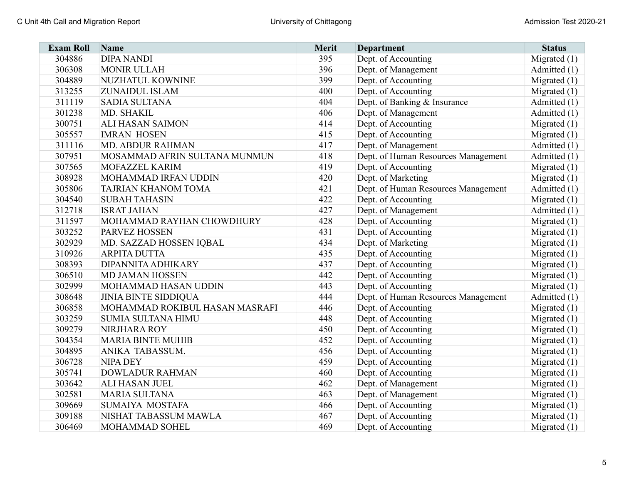| <b>Exam Roll</b> | Name                           | Merit | <b>Department</b>                   | <b>Status</b>  |
|------------------|--------------------------------|-------|-------------------------------------|----------------|
| 304886           | <b>DIPA NANDI</b>              | 395   | Dept. of Accounting                 | Migrated $(1)$ |
| 306308           | <b>MONIR ULLAH</b>             | 396   | Dept. of Management                 | Admitted (1)   |
| 304889           | NUZHATUL KOWNINE               | 399   | Dept. of Accounting                 | Migrated $(1)$ |
| 313255           | ZUNAIDUL ISLAM                 | 400   | Dept. of Accounting                 | Migrated $(1)$ |
| 311119           | <b>SADIA SULTANA</b>           | 404   | Dept. of Banking & Insurance        | Admitted $(1)$ |
| 301238           | MD. SHAKIL                     | 406   | Dept. of Management                 | Admitted (1)   |
| 300751           | <b>ALI HASAN SAIMON</b>        | 414   | Dept. of Accounting                 | Migrated $(1)$ |
| 305557           | <b>IMRAN HOSEN</b>             | 415   | Dept. of Accounting                 | Migrated $(1)$ |
| 311116           | <b>MD. ABDUR RAHMAN</b>        | 417   | Dept. of Management                 | Admitted (1)   |
| 307951           | MOSAMMAD AFRIN SULTANA MUNMUN  | 418   | Dept. of Human Resources Management | Admitted (1)   |
| 307565           | MOFAZZEL KARIM                 | 419   | Dept. of Accounting                 | Migrated $(1)$ |
| 308928           | MOHAMMAD IRFAN UDDIN           | 420   | Dept. of Marketing                  | Migrated $(1)$ |
| 305806           | TAJRIAN KHANOM TOMA            | 421   | Dept. of Human Resources Management | Admitted (1)   |
| 304540           | <b>SUBAH TAHASIN</b>           | 422   | Dept. of Accounting                 | Migrated $(1)$ |
| 312718           | <b>ISRAT JAHAN</b>             | 427   | Dept. of Management                 | Admitted (1)   |
| 311597           | MOHAMMAD RAYHAN CHOWDHURY      | 428   | Dept. of Accounting                 | Migrated $(1)$ |
| 303252           | PARVEZ HOSSEN                  | 431   | Dept. of Accounting                 | Migrated $(1)$ |
| 302929           | MD. SAZZAD HOSSEN IQBAL        | 434   | Dept. of Marketing                  | Migrated $(1)$ |
| 310926           | <b>ARPITA DUTTA</b>            | 435   | Dept. of Accounting                 | Migrated $(1)$ |
| 308393           | DIPANNITA ADHIKARY             | 437   | Dept. of Accounting                 | Migrated $(1)$ |
| 306510           | <b>MD JAMAN HOSSEN</b>         | 442   | Dept. of Accounting                 | Migrated $(1)$ |
| 302999           | MOHAMMAD HASAN UDDIN           | 443   | Dept. of Accounting                 | Migrated $(1)$ |
| 308648           | <b>JINIA BINTE SIDDIQUA</b>    | 444   | Dept. of Human Resources Management | Admitted (1)   |
| 306858           | MOHAMMAD ROKIBUL HASAN MASRAFI | 446   | Dept. of Accounting                 | Migrated $(1)$ |
| 303259           | <b>SUMIA SULTANA HIMU</b>      | 448   | Dept. of Accounting                 | Migrated $(1)$ |
| 309279           | NIRJHARA ROY                   | 450   | Dept. of Accounting                 | Migrated $(1)$ |
| 304354           | <b>MARIA BINTE MUHIB</b>       | 452   | Dept. of Accounting                 | Migrated $(1)$ |
| 304895           | ANIKA TABASSUM.                | 456   | Dept. of Accounting                 | Migrated $(1)$ |
| 306728           | <b>NIPA DEY</b>                | 459   | Dept. of Accounting                 | Migrated $(1)$ |
| 305741           | <b>DOWLADUR RAHMAN</b>         | 460   | Dept. of Accounting                 | Migrated $(1)$ |
| 303642           | ALI HASAN JUEL                 | 462   | Dept. of Management                 | Migrated $(1)$ |
| 302581           | <b>MARIA SULTANA</b>           | 463   | Dept. of Management                 | Migrated $(1)$ |
| 309669           | <b>SUMAIYA MOSTAFA</b>         | 466   | Dept. of Accounting                 | Migrated $(1)$ |
| 309188           | NISHAT TABASSUM MAWLA          | 467   | Dept. of Accounting                 | Migrated $(1)$ |
| 306469           | MOHAMMAD SOHEL                 | 469   | Dept. of Accounting                 | Migrated $(1)$ |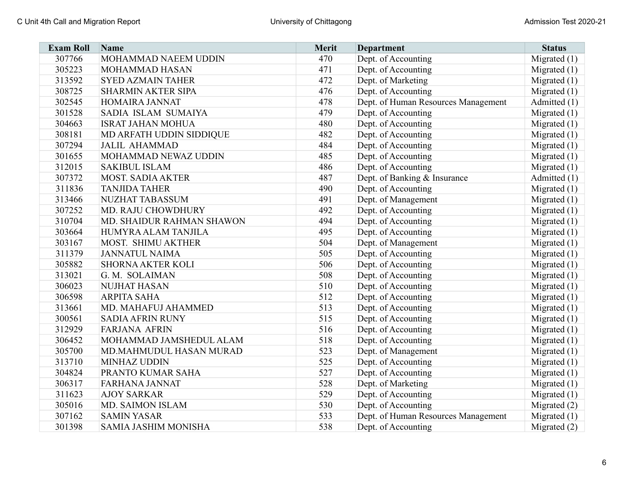| <b>Exam Roll</b> | <b>Name</b>                 | Merit | <b>Department</b>                   | <b>Status</b>  |
|------------------|-----------------------------|-------|-------------------------------------|----------------|
| 307766           | MOHAMMAD NAEEM UDDIN        | 470   | Dept. of Accounting                 | Migrated $(1)$ |
| 305223           | MOHAMMAD HASAN              | 471   | Dept. of Accounting                 | Migrated $(1)$ |
| 313592           | <b>SYED AZMAIN TAHER</b>    | 472   | Dept. of Marketing                  | Migrated $(1)$ |
| 308725           | <b>SHARMIN AKTER SIPA</b>   | 476   | Dept. of Accounting                 | Migrated $(1)$ |
| 302545           | HOMAIRA JANNAT              | 478   | Dept. of Human Resources Management | Admitted $(1)$ |
| 301528           | SADIA ISLAM SUMAIYA         | 479   | Dept. of Accounting                 | Migrated $(1)$ |
| 304663           | <b>ISRAT JAHAN MOHUA</b>    | 480   | Dept. of Accounting                 | Migrated $(1)$ |
| 308181           | MD ARFATH UDDIN SIDDIQUE    | 482   | Dept. of Accounting                 | Migrated $(1)$ |
| 307294           | <b>JALIL AHAMMAD</b>        | 484   | Dept. of Accounting                 | Migrated $(1)$ |
| 301655           | MOHAMMAD NEWAZ UDDIN        | 485   | Dept. of Accounting                 | Migrated $(1)$ |
| 312015           | <b>SAKIBUL ISLAM</b>        | 486   | Dept. of Accounting                 | Migrated $(1)$ |
| 307372           | <b>MOST. SADIA AKTER</b>    | 487   | Dept. of Banking & Insurance        | Admitted (1)   |
| 311836           | <b>TANJIDA TAHER</b>        | 490   | Dept. of Accounting                 | Migrated $(1)$ |
| 313466           | NUZHAT TABASSUM             | 491   | Dept. of Management                 | Migrated $(1)$ |
| 307252           | MD. RAJU CHOWDHURY          | 492   | Dept. of Accounting                 | Migrated $(1)$ |
| 310704           | MD. SHAIDUR RAHMAN SHAWON   | 494   | Dept. of Accounting                 | Migrated $(1)$ |
| 303664           | HUMYRA ALAM TANJILA         | 495   | Dept. of Accounting                 | Migrated $(1)$ |
| 303167           | MOST. SHIMU AKTHER          | 504   | Dept. of Management                 | Migrated $(1)$ |
| 311379           | <b>JANNATUL NAIMA</b>       | 505   | Dept. of Accounting                 | Migrated $(1)$ |
| 305882           | <b>SHORNA AKTER KOLI</b>    | 506   | Dept. of Accounting                 | Migrated $(1)$ |
| 313021           | G. M. SOLAIMAN              | 508   | Dept. of Accounting                 | Migrated $(1)$ |
| 306023           | <b>NUJHAT HASAN</b>         | 510   | Dept. of Accounting                 | Migrated $(1)$ |
| 306598           | <b>ARPITA SAHA</b>          | 512   | Dept. of Accounting                 | Migrated $(1)$ |
| 313661           | MD. MAHAFUJ AHAMMED         | 513   | Dept. of Accounting                 | Migrated $(1)$ |
| 300561           | <b>SADIA AFRIN RUNY</b>     | 515   | Dept. of Accounting                 | Migrated $(1)$ |
| 312929           | <b>FARJANA AFRIN</b>        | 516   | Dept. of Accounting                 | Migrated $(1)$ |
| 306452           | MOHAMMAD JAMSHEDUL ALAM     | 518   | Dept. of Accounting                 | Migrated $(1)$ |
| 305700           | MD.MAHMUDUL HASAN MURAD     | 523   | Dept. of Management                 | Migrated $(1)$ |
| 313710           | <b>MINHAZ UDDIN</b>         | 525   | Dept. of Accounting                 | Migrated $(1)$ |
| 304824           | PRANTO KUMAR SAHA           | 527   | Dept. of Accounting                 | Migrated $(1)$ |
| 306317           | <b>FARHANA JANNAT</b>       | 528   | Dept. of Marketing                  | Migrated $(1)$ |
| 311623           | <b>AJOY SARKAR</b>          | 529   | Dept. of Accounting                 | Migrated $(1)$ |
| 305016           | MD. SAIMON ISLAM            | 530   | Dept. of Accounting                 | Migrated $(2)$ |
| 307162           | <b>SAMIN YASAR</b>          | 533   | Dept. of Human Resources Management | Migrated $(1)$ |
| 301398           | <b>SAMIA JASHIM MONISHA</b> | 538   | Dept. of Accounting                 | Migrated $(2)$ |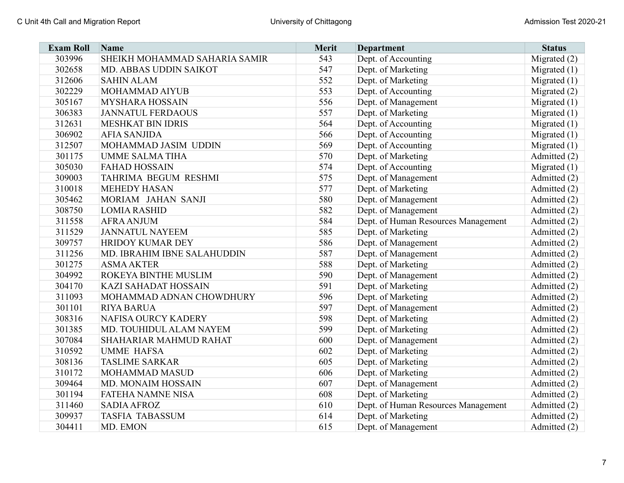| <b>Exam Roll</b> | <b>Name</b>                   | <b>Merit</b> | <b>Department</b>                   | <b>Status</b>  |
|------------------|-------------------------------|--------------|-------------------------------------|----------------|
| 303996           | SHEIKH MOHAMMAD SAHARIA SAMIR | 543          | Dept. of Accounting                 | Migrated (2)   |
| 302658           | MD. ABBAS UDDIN SAIKOT        | 547          | Dept. of Marketing                  | Migrated $(1)$ |
| 312606           | <b>SAHIN ALAM</b>             | 552          | Dept. of Marketing                  | Migrated $(1)$ |
| 302229           | MOHAMMAD AIYUB                | 553          | Dept. of Accounting                 | Migrated $(2)$ |
| 305167           | <b>MYSHARA HOSSAIN</b>        | 556          | Dept. of Management                 | Migrated $(1)$ |
| 306383           | <b>JANNATUL FERDAOUS</b>      | 557          | Dept. of Marketing                  | Migrated $(1)$ |
| 312631           | <b>MESHKAT BIN IDRIS</b>      | 564          | Dept. of Accounting                 | Migrated $(1)$ |
| 306902           | <b>AFIA SANJIDA</b>           | 566          | Dept. of Accounting                 | Migrated $(1)$ |
| 312507           | MOHAMMAD JASIM UDDIN          | 569          | Dept. of Accounting                 | Migrated $(1)$ |
| 301175           | <b>UMME SALMA TIHA</b>        | 570          | Dept. of Marketing                  | Admitted (2)   |
| 305030           | <b>FAHAD HOSSAIN</b>          | 574          | Dept. of Accounting                 | Migrated $(1)$ |
| 309003           | TAHRIMA BEGUM RESHMI          | 575          | Dept. of Management                 | Admitted (2)   |
| 310018           | <b>MEHEDY HASAN</b>           | 577          | Dept. of Marketing                  | Admitted (2)   |
| 305462           | MORIAM JAHAN SANJI            | 580          | Dept. of Management                 | Admitted (2)   |
| 308750           | <b>LOMIA RASHID</b>           | 582          | Dept. of Management                 | Admitted (2)   |
| 311558           | <b>AFRA ANJUM</b>             | 584          | Dept. of Human Resources Management | Admitted (2)   |
| 311529           | <b>JANNATUL NAYEEM</b>        | 585          | Dept. of Marketing                  | Admitted (2)   |
| 309757           | HRIDOY KUMAR DEY              | 586          | Dept. of Management                 | Admitted (2)   |
| 311256           | MD. IBRAHIM IBNE SALAHUDDIN   | 587          | Dept. of Management                 | Admitted (2)   |
| 301275           | <b>ASMA AKTER</b>             | 588          | Dept. of Marketing                  | Admitted (2)   |
| 304992           | ROKEYA BINTHE MUSLIM          | 590          | Dept. of Management                 | Admitted (2)   |
| 304170           | <b>KAZI SAHADAT HOSSAIN</b>   | 591          | Dept. of Marketing                  | Admitted (2)   |
| 311093           | MOHAMMAD ADNAN CHOWDHURY      | 596          | Dept. of Marketing                  | Admitted (2)   |
| 301101           | <b>RIYA BARUA</b>             | 597          | Dept. of Management                 | Admitted (2)   |
| 308316           | NAFISA OURCY KADERY           | 598          | Dept. of Marketing                  | Admitted (2)   |
| 301385           | MD. TOUHIDUL ALAM NAYEM       | 599          | Dept. of Marketing                  | Admitted (2)   |
| 307084           | SHAHARIAR MAHMUD RAHAT        | 600          | Dept. of Management                 | Admitted (2)   |
| 310592           | <b>UMME HAFSA</b>             | 602          | Dept. of Marketing                  | Admitted (2)   |
| 308136           | <b>TASLIME SARKAR</b>         | 605          | Dept. of Marketing                  | Admitted (2)   |
| 310172           | MOHAMMAD MASUD                | 606          | Dept. of Marketing                  | Admitted (2)   |
| 309464           | <b>MD. MONAIM HOSSAIN</b>     | 607          | Dept. of Management                 | Admitted (2)   |
| 301194           | <b>FATEHA NAMNE NISA</b>      | 608          | Dept. of Marketing                  | Admitted (2)   |
| 311460           | <b>SADIA AFROZ</b>            | 610          | Dept. of Human Resources Management | Admitted (2)   |
| 309937           | <b>TASFIA TABASSUM</b>        | 614          | Dept. of Marketing                  | Admitted (2)   |
| 304411           | MD. EMON                      | 615          | Dept. of Management                 | Admitted (2)   |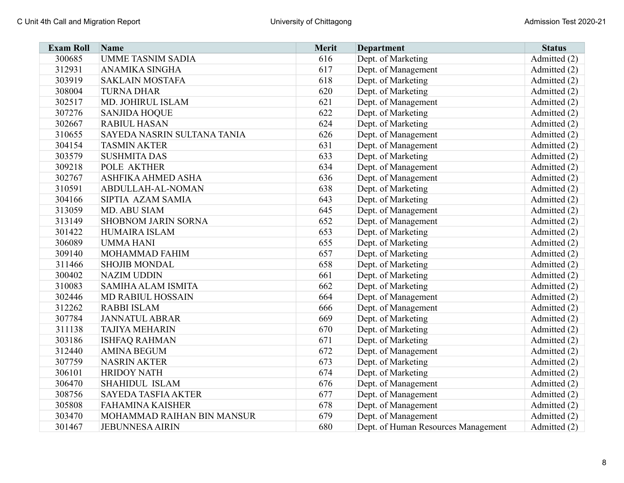| <b>Exam Roll</b> | <b>Name</b>                 | Merit | <b>Department</b>                   | <b>Status</b> |
|------------------|-----------------------------|-------|-------------------------------------|---------------|
| 300685           | <b>UMME TASNIM SADIA</b>    | 616   | Dept. of Marketing                  | Admitted (2)  |
| 312931           | <b>ANAMIKA SINGHA</b>       | 617   | Dept. of Management                 | Admitted (2)  |
| 303919           | <b>SAKLAIN MOSTAFA</b>      | 618   | Dept. of Marketing                  | Admitted (2)  |
| 308004           | <b>TURNA DHAR</b>           | 620   | Dept. of Marketing                  | Admitted (2)  |
| 302517           | MD. JOHIRUL ISLAM           | 621   | Dept. of Management                 | Admitted (2)  |
| 307276           | <b>SANJIDA HOQUE</b>        | 622   | Dept. of Marketing                  | Admitted (2)  |
| 302667           | <b>RABIUL HASAN</b>         | 624   | Dept. of Marketing                  | Admitted (2)  |
| 310655           | SAYEDA NASRIN SULTANA TANIA | 626   | Dept. of Management                 | Admitted (2)  |
| 304154           | <b>TASMIN AKTER</b>         | 631   | Dept. of Management                 | Admitted (2)  |
| 303579           | <b>SUSHMITA DAS</b>         | 633   | Dept. of Marketing                  | Admitted (2)  |
| 309218           | POLE AKTHER                 | 634   | Dept. of Management                 | Admitted (2)  |
| 302767           | ASHFIKA AHMED ASHA          | 636   | Dept. of Management                 | Admitted (2)  |
| 310591           | ABDULLAH-AL-NOMAN           | 638   | Dept. of Marketing                  | Admitted (2)  |
| 304166           | SIPTIA AZAM SAMIA           | 643   | Dept. of Marketing                  | Admitted (2)  |
| 313059           | MD. ABU SIAM                | 645   | Dept. of Management                 | Admitted (2)  |
| 313149           | <b>SHOBNOM JARIN SORNA</b>  | 652   | Dept. of Management                 | Admitted (2)  |
| 301422           | <b>HUMAIRA ISLAM</b>        | 653   | Dept. of Marketing                  | Admitted (2)  |
| 306089           | <b>UMMAHANI</b>             | 655   | Dept. of Marketing                  | Admitted (2)  |
| 309140           | MOHAMMAD FAHIM              | 657   | Dept. of Marketing                  | Admitted (2)  |
| 311466           | <b>SHOJIB MONDAL</b>        | 658   | Dept. of Marketing                  | Admitted (2)  |
| 300402           | <b>NAZIM UDDIN</b>          | 661   | Dept. of Marketing                  | Admitted (2)  |
| 310083           | <b>SAMIHA ALAM ISMITA</b>   | 662   | Dept. of Marketing                  | Admitted (2)  |
| 302446           | <b>MD RABIUL HOSSAIN</b>    | 664   | Dept. of Management                 | Admitted (2)  |
| 312262           | <b>RABBI ISLAM</b>          | 666   | Dept. of Management                 | Admitted (2)  |
| 307784           | <b>JANNATUL ABRAR</b>       | 669   | Dept. of Marketing                  | Admitted (2)  |
| 311138           | <b>TAJIYA MEHARIN</b>       | 670   | Dept. of Marketing                  | Admitted (2)  |
| 303186           | <b>ISHFAQ RAHMAN</b>        | 671   | Dept. of Marketing                  | Admitted (2)  |
| 312440           | <b>AMINA BEGUM</b>          | 672   | Dept. of Management                 | Admitted (2)  |
| 307759           | <b>NASRIN AKTER</b>         | 673   | Dept. of Marketing                  | Admitted (2)  |
| 306101           | <b>HRIDOY NATH</b>          | 674   | Dept. of Marketing                  | Admitted (2)  |
| 306470           | <b>SHAHIDUL ISLAM</b>       | 676   | Dept. of Management                 | Admitted (2)  |
| 308756           | <b>SAYEDA TASFIA AKTER</b>  | 677   | Dept. of Management                 | Admitted (2)  |
| 305808           | <b>FAHAMINA KAISHER</b>     | 678   | Dept. of Management                 | Admitted (2)  |
| 303470           | MOHAMMAD RAIHAN BIN MANSUR  | 679   | Dept. of Management                 | Admitted (2)  |
| 301467           | <b>JEBUNNESA AIRIN</b>      | 680   | Dept. of Human Resources Management | Admitted (2)  |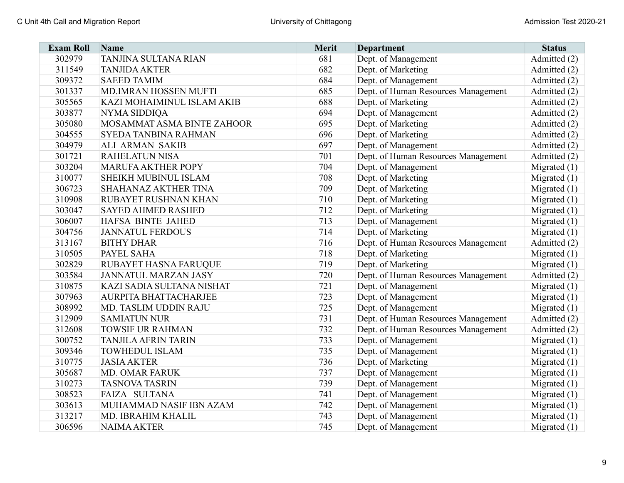| <b>Exam Roll</b> | <b>Name</b>                  | <b>Merit</b> | <b>Department</b>                   | <b>Status</b>  |
|------------------|------------------------------|--------------|-------------------------------------|----------------|
| 302979           | TANJINA SULTANA RIAN         | 681          | Dept. of Management                 | Admitted (2)   |
| 311549           | <b>TANJIDA AKTER</b>         | 682          | Dept. of Marketing                  | Admitted (2)   |
| 309372           | <b>SAEED TAMIM</b>           | 684          | Dept. of Management                 | Admitted (2)   |
| 301337           | MD.IMRAN HOSSEN MUFTI        | 685          | Dept. of Human Resources Management | Admitted (2)   |
| 305565           | KAZI MOHAIMINUL ISLAM AKIB   | 688          | Dept. of Marketing                  | Admitted (2)   |
| 303877           | NYMA SIDDIQA                 | 694          | Dept. of Management                 | Admitted (2)   |
| 305080           | MOSAMMAT ASMA BINTE ZAHOOR   | 695          | Dept. of Marketing                  | Admitted (2)   |
| 304555           | SYEDA TANBINA RAHMAN         | 696          | Dept. of Marketing                  | Admitted (2)   |
| 304979           | <b>ALI ARMAN SAKIB</b>       | 697          | Dept. of Management                 | Admitted (2)   |
| 301721           | <b>RAHELATUN NISA</b>        | 701          | Dept. of Human Resources Management | Admitted (2)   |
| 303204           | <b>MARUFA AKTHER POPY</b>    | 704          | Dept. of Management                 | Migrated $(1)$ |
| 310077           | SHEIKH MUBINUL ISLAM         | 708          | Dept. of Marketing                  | Migrated $(1)$ |
| 306723           | SHAHANAZ AKTHER TINA         | 709          | Dept. of Marketing                  | Migrated $(1)$ |
| 310908           | RUBAYET RUSHNAN KHAN         | 710          | Dept. of Marketing                  | Migrated $(1)$ |
| 303047           | <b>SAYED AHMED RASHED</b>    | 712          | Dept. of Marketing                  | Migrated $(1)$ |
| 306007           | HAFSA BINTE JAHED            | 713          | Dept. of Management                 | Migrated $(1)$ |
| 304756           | <b>JANNATUL FERDOUS</b>      | 714          | Dept. of Marketing                  | Migrated $(1)$ |
| 313167           | <b>BITHY DHAR</b>            | 716          | Dept. of Human Resources Management | Admitted (2)   |
| 310505           | PAYEL SAHA                   | 718          | Dept. of Marketing                  | Migrated $(1)$ |
| 302829           | RUBAYET HASNA FARUQUE        | 719          | Dept. of Marketing                  | Migrated $(1)$ |
| 303584           | <b>JANNATUL MARZAN JASY</b>  | 720          | Dept. of Human Resources Management | Admitted (2)   |
| 310875           | KAZI SADIA SULTANA NISHAT    | 721          | Dept. of Management                 | Migrated $(1)$ |
| 307963           | <b>AURPITA BHATTACHARJEE</b> | 723          | Dept. of Management                 | Migrated $(1)$ |
| 308992           | MD. TASLIM UDDIN RAJU        | 725          | Dept. of Management                 | Migrated $(1)$ |
| 312909           | <b>SAMIATUN NUR</b>          | 731          | Dept. of Human Resources Management | Admitted (2)   |
| 312608           | <b>TOWSIF UR RAHMAN</b>      | 732          | Dept. of Human Resources Management | Admitted (2)   |
| 300752           | <b>TANJILA AFRIN TARIN</b>   | 733          | Dept. of Management                 | Migrated $(1)$ |
| 309346           | <b>TOWHEDUL ISLAM</b>        | 735          | Dept. of Management                 | Migrated $(1)$ |
| 310775           | <b>JASIA AKTER</b>           | 736          | Dept. of Marketing                  | Migrated $(1)$ |
| 305687           | <b>MD. OMAR FARUK</b>        | 737          | Dept. of Management                 | Migrated $(1)$ |
| 310273           | <b>TASNOVA TASRIN</b>        | 739          | Dept. of Management                 | Migrated $(1)$ |
| 308523           | FAIZA SULTANA                | 741          | Dept. of Management                 | Migrated $(1)$ |
| 303613           | MUHAMMAD NASIF IBN AZAM      | 742          | Dept. of Management                 | Migrated $(1)$ |
| 313217           | MD. IBRAHIM KHALIL           | 743          | Dept. of Management                 | Migrated $(1)$ |
| 306596           | <b>NAIMA AKTER</b>           | 745          | Dept. of Management                 | Migrated $(1)$ |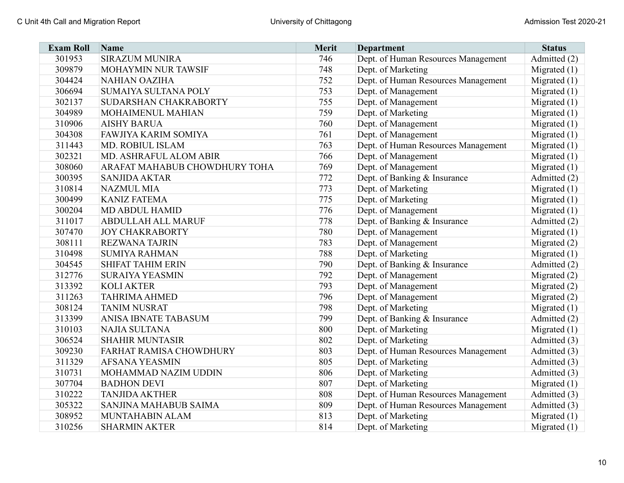| <b>Exam Roll</b> | Name                          | Merit | <b>Department</b>                   | <b>Status</b>  |
|------------------|-------------------------------|-------|-------------------------------------|----------------|
| 301953           | <b>SIRAZUM MUNIRA</b>         | 746   | Dept. of Human Resources Management | Admitted (2)   |
| 309879           | MOHAYMIN NUR TAWSIF           | 748   | Dept. of Marketing                  | Migrated $(1)$ |
| 304424           | <b>NAHIAN OAZIHA</b>          | 752   | Dept. of Human Resources Management | Migrated $(1)$ |
| 306694           | SUMAIYA SULTANA POLY          | 753   | Dept. of Management                 | Migrated $(1)$ |
| 302137           | SUDARSHAN CHAKRABORTY         | 755   | Dept. of Management                 | Migrated $(1)$ |
| 304989           | MOHAIMENUL MAHIAN             | 759   | Dept. of Marketing                  | Migrated $(1)$ |
| 310906           | <b>AISHY BARUA</b>            | 760   | Dept. of Management                 | Migrated $(1)$ |
| 304308           | <b>FAWJIYA KARIM SOMIYA</b>   | 761   | Dept. of Management                 | Migrated $(1)$ |
| 311443           | <b>MD. ROBIUL ISLAM</b>       | 763   | Dept. of Human Resources Management | Migrated $(1)$ |
| 302321           | MD. ASHRAFUL ALOM ABIR        | 766   | Dept. of Management                 | Migrated $(1)$ |
| 308060           | ARAFAT MAHABUB CHOWDHURY TOHA | 769   | Dept. of Management                 | Migrated $(1)$ |
| 300395           | <b>SANJIDA AKTAR</b>          | 772   | Dept. of Banking & Insurance        | Admitted (2)   |
| 310814           | <b>NAZMUL MIA</b>             | 773   | Dept. of Marketing                  | Migrated $(1)$ |
| 300499           | <b>KANIZ FATEMA</b>           | 775   | Dept. of Marketing                  | Migrated $(1)$ |
| 300204           | <b>MD ABDUL HAMID</b>         | 776   | Dept. of Management                 | Migrated $(1)$ |
| 311017           | <b>ABDULLAH ALL MARUF</b>     | 778   | Dept. of Banking & Insurance        | Admitted (2)   |
| 307470           | <b>JOY CHAKRABORTY</b>        | 780   | Dept. of Management                 | Migrated $(1)$ |
| 308111           | <b>REZWANA TAJRIN</b>         | 783   | Dept. of Management                 | Migrated $(2)$ |
| 310498           | <b>SUMIYA RAHMAN</b>          | 788   | Dept. of Marketing                  | Migrated $(1)$ |
| 304545           | <b>SHIFAT TAHIM ERIN</b>      | 790   | Dept. of Banking & Insurance        | Admitted (2)   |
| 312776           | <b>SURAIYA YEASMIN</b>        | 792   | Dept. of Management                 | Migrated $(2)$ |
| 313392           | <b>KOLI AKTER</b>             | 793   | Dept. of Management                 | Migrated $(2)$ |
| 311263           | <b>TAHRIMA AHMED</b>          | 796   | Dept. of Management                 | Migrated $(2)$ |
| 308124           | <b>TANIM NUSRAT</b>           | 798   | Dept. of Marketing                  | Migrated $(1)$ |
| 313399           | ANISA IBNATE TABASUM          | 799   | Dept. of Banking & Insurance        | Admitted (2)   |
| 310103           | NAJIA SULTANA                 | 800   | Dept. of Marketing                  | Migrated $(1)$ |
| 306524           | <b>SHAHIR MUNTASIR</b>        | 802   | Dept. of Marketing                  | Admitted (3)   |
| 309230           | FARHAT RAMISA CHOWDHURY       | 803   | Dept. of Human Resources Management | Admitted (3)   |
| 311329           | <b>AFSANA YEASMIN</b>         | 805   | Dept. of Marketing                  | Admitted (3)   |
| 310731           | MOHAMMAD NAZIM UDDIN          | 806   | Dept. of Marketing                  | Admitted (3)   |
| 307704           | <b>BADHON DEVI</b>            | 807   | Dept. of Marketing                  | Migrated $(1)$ |
| 310222           | <b>TANJIDA AKTHER</b>         | 808   | Dept. of Human Resources Management | Admitted (3)   |
| 305322           | SANJINA MAHABUB SAIMA         | 809   | Dept. of Human Resources Management | Admitted (3)   |
| 308952           | MUNTAHABIN ALAM               | 813   | Dept. of Marketing                  | Migrated $(1)$ |
| 310256           | <b>SHARMIN AKTER</b>          | 814   | Dept. of Marketing                  | Migrated $(1)$ |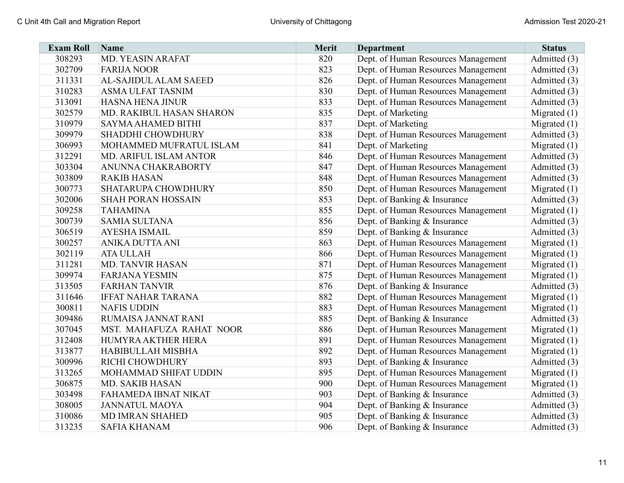| <b>Exam Roll</b> | <b>Name</b>               | <b>Merit</b> | <b>Department</b>                   | <b>Status</b>  |
|------------------|---------------------------|--------------|-------------------------------------|----------------|
| 308293           | <b>MD. YEASIN ARAFAT</b>  | 820          | Dept. of Human Resources Management | Admitted (3)   |
| 302709           | <b>FARIJA NOOR</b>        | 823          | Dept. of Human Resources Management | Admitted (3)   |
| 311331           | AL-SAJIDUL ALAM SAEED     | 826          | Dept. of Human Resources Management | Admitted (3)   |
| 310283           | <b>ASMA ULFAT TASNIM</b>  | 830          | Dept. of Human Resources Management | Admitted (3)   |
| 313091           | <b>HASNA HENA JINUR</b>   | 833          | Dept. of Human Resources Management | Admitted (3)   |
| 302579           | MD. RAKIBUL HASAN SHARON  | 835          | Dept. of Marketing                  | Migrated $(1)$ |
| 310979           | SAYMA AHAMED BITHI        | 837          | Dept. of Marketing                  | Migrated $(1)$ |
| 309979           | SHADDHI CHOWDHURY         | 838          | Dept. of Human Resources Management | Admitted (3)   |
| 306993           | MOHAMMED MUFRATUL ISLAM   | 841          | Dept. of Marketing                  | Migrated $(1)$ |
| 312291           | MD. ARIFUL ISLAM ANTOR    | 846          | Dept. of Human Resources Management | Admitted (3)   |
| 303304           | ANUNNA CHAKRABORTY        | 847          | Dept. of Human Resources Management | Admitted (3)   |
| 303809           | <b>RAKIB HASAN</b>        | 848          | Dept. of Human Resources Management | Admitted (3)   |
| 300773           | SHATARUPA CHOWDHURY       | 850          | Dept. of Human Resources Management | Migrated $(1)$ |
| 302006           | <b>SHAH PORAN HOSSAIN</b> | 853          | Dept. of Banking & Insurance        | Admitted (3)   |
| 309258           | <b>TAHAMINA</b>           | 855          | Dept. of Human Resources Management | Migrated $(1)$ |
| 300739           | <b>SAMIA SULTANA</b>      | 856          | Dept. of Banking & Insurance        | Admitted (3)   |
| 306519           | <b>AYESHA ISMAIL</b>      | 859          | Dept. of Banking & Insurance        | Admitted (3)   |
| 300257           | ANIKA DUTTA ANI           | 863          | Dept. of Human Resources Management | Migrated $(1)$ |
| 302119           | <b>ATA ULLAH</b>          | 866          | Dept. of Human Resources Management | Migrated $(1)$ |
| 311281           | <b>MD. TANVIR HASAN</b>   | 871          | Dept. of Human Resources Management | Migrated $(1)$ |
| 309974           | <b>FARJANA YESMIN</b>     | 875          | Dept. of Human Resources Management | Migrated $(1)$ |
| 313505           | <b>FARHAN TANVIR</b>      | 876          | Dept. of Banking & Insurance        | Admitted (3)   |
| 311646           | <b>IFFAT NAHAR TARANA</b> | 882          | Dept. of Human Resources Management | Migrated $(1)$ |
| 300811           | <b>NAFIS UDDIN</b>        | 883          | Dept. of Human Resources Management | Migrated $(1)$ |
| 309486           | RUMAISA JANNAT RANI       | 885          | Dept. of Banking & Insurance        | Admitted (3)   |
| 307045           | MST. MAHAFUZA RAHAT NOOR  | 886          | Dept. of Human Resources Management | Migrated $(1)$ |
| 312408           | HUMYRA AKTHER HERA        | 891          | Dept. of Human Resources Management | Migrated $(1)$ |
| 313877           | HABIBULLAH MISBHA         | 892          | Dept. of Human Resources Management | Migrated $(1)$ |
| 300996           | RICHI CHOWDHURY           | 893          | Dept. of Banking & Insurance        | Admitted (3)   |
| 313265           | MOHAMMAD SHIFAT UDDIN     | 895          | Dept. of Human Resources Management | Migrated $(1)$ |
| 306875           | MD. SAKIB HASAN           | 900          | Dept. of Human Resources Management | Migrated $(1)$ |
| 303498           | FAHAMEDA IBNAT NIKAT      | 903          | Dept. of Banking & Insurance        | Admitted (3)   |
| 308005           | <b>JANNATUL MAOYA</b>     | 904          | Dept. of Banking & Insurance        | Admitted (3)   |
| 310086           | <b>MD IMRAN SHAHED</b>    | 905          | Dept. of Banking & Insurance        | Admitted (3)   |
| 313235           | <b>SAFIA KHANAM</b>       | 906          | Dept. of Banking & Insurance        | Admitted (3)   |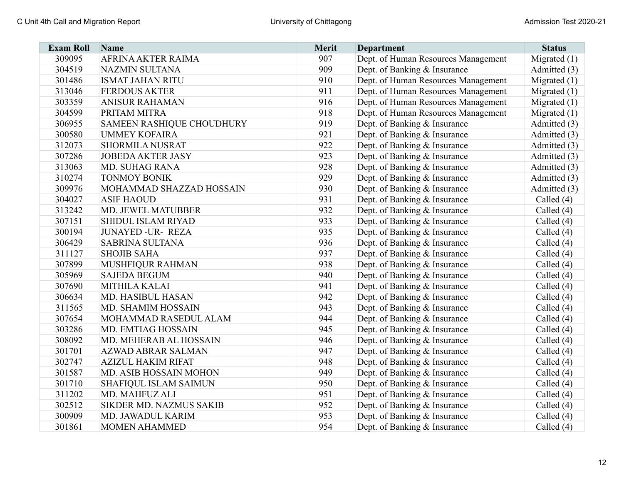| <b>Exam Roll</b> | Name                      | <b>Merit</b> | <b>Department</b>                   | <b>Status</b>  |
|------------------|---------------------------|--------------|-------------------------------------|----------------|
| 309095           | AFRINA AKTER RAIMA        | 907          | Dept. of Human Resources Management | Migrated $(1)$ |
| 304519           | <b>NAZMIN SULTANA</b>     | 909          | Dept. of Banking & Insurance        | Admitted (3)   |
| 301486           | <b>ISMAT JAHAN RITU</b>   | 910          | Dept. of Human Resources Management | Migrated $(1)$ |
| 313046           | <b>FERDOUS AKTER</b>      | 911          | Dept. of Human Resources Management | Migrated $(1)$ |
| 303359           | <b>ANISUR RAHAMAN</b>     | 916          | Dept. of Human Resources Management | Migrated $(1)$ |
| 304599           | PRITAM MITRA              | 918          | Dept. of Human Resources Management | Migrated $(1)$ |
| 306955           | SAMEEN RASHIQUE CHOUDHURY | 919          | Dept. of Banking & Insurance        | Admitted (3)   |
| 300580           | <b>UMMEY KOFAIRA</b>      | 921          | Dept. of Banking & Insurance        | Admitted (3)   |
| 312073           | <b>SHORMILA NUSRAT</b>    | 922          | Dept. of Banking & Insurance        | Admitted (3)   |
| 307286           | <b>JOBEDA AKTER JASY</b>  | 923          | Dept. of Banking & Insurance        | Admitted (3)   |
| 313063           | MD. SUHAG RANA            | 928          | Dept. of Banking & Insurance        | Admitted (3)   |
| 310274           | <b>TONMOY BONIK</b>       | 929          | Dept. of Banking & Insurance        | Admitted (3)   |
| 309976           | MOHAMMAD SHAZZAD HOSSAIN  | 930          | Dept. of Banking & Insurance        | Admitted (3)   |
| 304027           | <b>ASIF HAOUD</b>         | 931          | Dept. of Banking & Insurance        | Called $(4)$   |
| 313242           | MD. JEWEL MATUBBER        | 932          | Dept. of Banking & Insurance        | Called (4)     |
| 307151           | SHIDUL ISLAM RIYAD        | 933          | Dept. of Banking & Insurance        | Called (4)     |
| 300194           | <b>JUNAYED -UR- REZA</b>  | 935          | Dept. of Banking & Insurance        | Called (4)     |
| 306429           | <b>SABRINA SULTANA</b>    | 936          | Dept. of Banking & Insurance        | Called $(4)$   |
| 311127           | <b>SHOJIB SAHA</b>        | 937          | Dept. of Banking & Insurance        | Called (4)     |
| 307899           | MUSHFIQUR RAHMAN          | 938          | Dept. of Banking & Insurance        | Called (4)     |
| 305969           | <b>SAJEDA BEGUM</b>       | 940          | Dept. of Banking & Insurance        | Called (4)     |
| 307690           | MITHILA KALAI             | 941          | Dept. of Banking & Insurance        | Called (4)     |
| 306634           | <b>MD. HASIBUL HASAN</b>  | 942          | Dept. of Banking & Insurance        | Called $(4)$   |
| 311565           | MD. SHAMIM HOSSAIN        | 943          | Dept. of Banking & Insurance        | Called $(4)$   |
| 307654           | MOHAMMAD RASEDUL ALAM     | 944          | Dept. of Banking & Insurance        | Called $(4)$   |
| 303286           | <b>MD. EMTIAG HOSSAIN</b> | 945          | Dept. of Banking & Insurance        | Called (4)     |
| 308092           | MD. MEHERAB AL HOSSAIN    | 946          | Dept. of Banking & Insurance        | Called $(4)$   |
| 301701           | AZWAD ABRAR SALMAN        | 947          | Dept. of Banking & Insurance        | Called $(4)$   |
| 302747           | <b>AZIZUL HAKIM RIFAT</b> | 948          | Dept. of Banking & Insurance        | Called (4)     |
| 301587           | MD. ASIB HOSSAIN MOHON    | 949          | Dept. of Banking & Insurance        | Called (4)     |
| 301710           | SHAFIQUL ISLAM SAIMUN     | 950          | Dept. of Banking & Insurance        | Called $(4)$   |
| 311202           | MD. MAHFUZ ALI            | 951          | Dept. of Banking & Insurance        | Called $(4)$   |
| 302512           | SIKDER MD. NAZMUS SAKIB   | 952          | Dept. of Banking & Insurance        | Called $(4)$   |
| 300909           | MD. JAWADUL KARIM         | 953          | Dept. of Banking & Insurance        | Called (4)     |
| 301861           | <b>MOMEN AHAMMED</b>      | 954          | Dept. of Banking & Insurance        | Called $(4)$   |